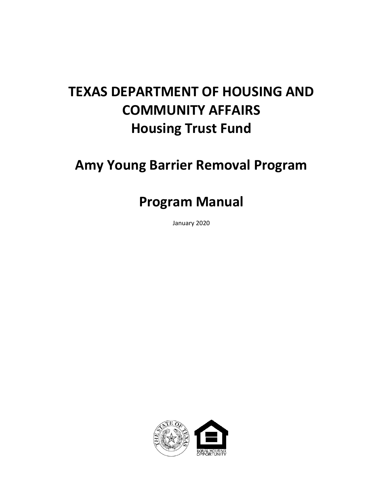# **TEXAS DEPARTMENT OF HOUSING AND COMMUNITY AFFAIRS Housing Trust Fund**

# **Amy Young Barrier Removal Program**

# **Program Manual**

January 2020

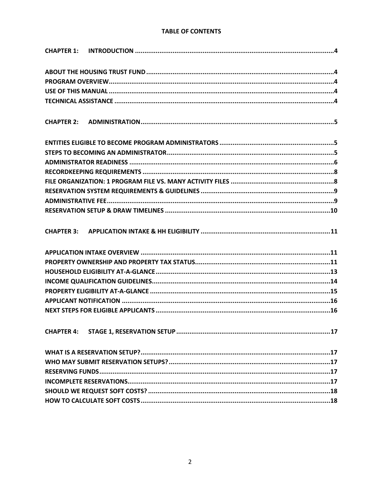#### **TABLE OF CONTENTS**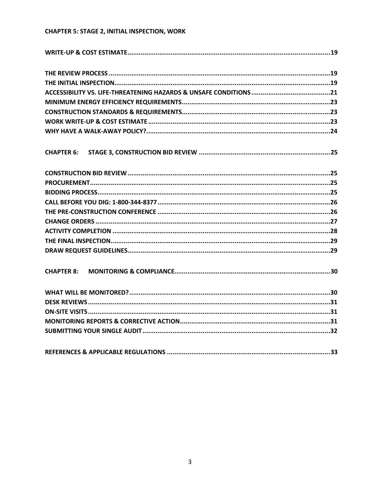#### **CHAPTER 5: STAGE 2, INITIAL INSPECTION, WORK**

| <b>CHAPTER 8:</b> |  |
|-------------------|--|
|                   |  |
|                   |  |
|                   |  |
|                   |  |
|                   |  |
|                   |  |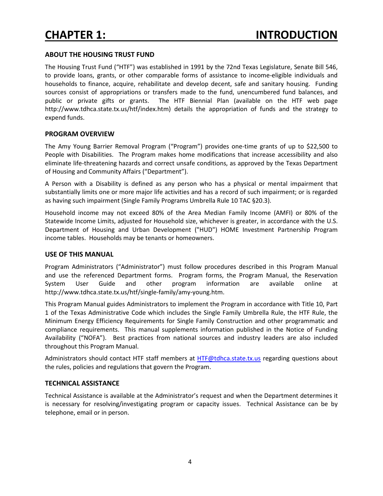#### **ABOUT THE HOUSING TRUST FUND**

The Housing Trust Fund ("HTF") was established in 1991 by the 72nd Texas Legislature, Senate Bill 546, to provide loans, grants, or other comparable forms of assistance to income-eligible individuals and households to finance, acquire, rehabilitate and develop decent, safe and sanitary housing. Funding sources consist of appropriations or transfers made to the fund, unencumbered fund balances, and public or private gifts or grants. The HTF Biennial Plan (available on the HTF web page http://www.tdhca.state.tx.us/htf/index.htm) details the appropriation of funds and the strategy to expend funds.

#### **PROGRAM OVERVIEW**

The Amy Young Barrier Removal Program ("Program") provides one-time grants of up to \$22,500 to People with Disabilities. The Program makes home modifications that increase accessibility and also eliminate life-threatening hazards and correct unsafe conditions, as approved by the Texas Department of Housing and Community Affairs ("Department").

A Person with a Disability is defined as any person who has a physical or mental impairment that substantially limits one or more major life activities and has a record of such impairment; or is regarded as having such impairment (Single Family Programs Umbrella Rule 10 TAC §20.3).

Household income may not exceed 80% of the Area Median Family Income (AMFI) or 80% of the Statewide Income Limits, adjusted for Household size, whichever is greater, in accordance with the U.S. Department of Housing and Urban Development ("HUD") HOME Investment Partnership Program income tables. Households may be tenants or homeowners.

#### **USE OF THIS MANUAL**

Program Administrators ("Administrator") must follow procedures described in this Program Manual and use the referenced Department forms. Program forms, the Program Manual, the Reservation System User Guide and other program information are available online at http://www.tdhca.state.tx.us/htf/single-family/amy-young.htm.

This Program Manual guides Administrators to implement the Program in accordance with Title 10, Part 1 of the Texas Administrative Code which includes the Single Family Umbrella Rule, the HTF Rule, the Minimum Energy Efficiency Requirements for Single Family Construction and other programmatic and compliance requirements. This manual supplements information published in the Notice of Funding Availability ("NOFA"). Best practices from national sources and industry leaders are also included throughout this Program Manual.

Administrators should contact HTF staff members at HTF@tdhca.state.tx.us regarding questions about the rules, policies and regulations that govern the Program.

#### **TECHNICAL ASSISTANCE**

Technical Assistance is available at the Administrator's request and when the Department determines it is necessary for resolving/investigating program or capacity issues. Technical Assistance can be by telephone, email or in person.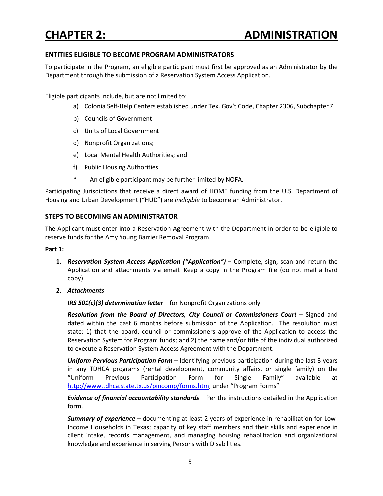#### **ENTITIES ELIGIBLE TO BECOME PROGRAM ADMINISTRATORS**

To participate in the Program, an eligible participant must first be approved as an Administrator by the Department through the submission of a Reservation System Access Application.

Eligible participants include, but are not limited to:

- a) Colonia Self-Help Centers established under Tex. Gov't Code, Chapter 2306, Subchapter Z
- b) Councils of Government
- c) Units of Local Government
- d) Nonprofit Organizations;
- e) Local Mental Health Authorities; and
- f) Public Housing Authorities
- An eligible participant may be further limited by NOFA.

Participating Jurisdictions that receive a direct award of HOME funding from the U.S. Department of Housing and Urban Development ("HUD") are *ineligible* to become an Administrator.

#### **STEPS TO BECOMING AN ADMINISTRATOR**

The Applicant must enter into a Reservation Agreement with the Department in order to be eligible to reserve funds for the Amy Young Barrier Removal Program.

#### **Part 1:**

- **1.** *Reservation System Access Application ("Application")* Complete, sign, scan and return the Application and attachments via email. Keep a copy in the Program file (do not mail a hard copy).
- **2.** *Attachments*

*IRS 501(c)(3) determination letter* – for Nonprofit Organizations only.

*Resolution from the Board of Directors, City Council or Commissioners Court* – Signed and dated within the past 6 months before submission of the Application. The resolution must state: 1) that the board, council or commissioners approve of the Application to access the Reservation System for Program funds; and 2) the name and/or title of the individual authorized to execute a Reservation System Access Agreement with the Department.

*Uniform Pervious Participation Form* – Identifying previous participation during the last 3 years in any TDHCA programs (rental development, community affairs, or single family) on the "Uniform Previous Participation Form for Single Family" available at http://www.tdhca.state.tx.us/pmcomp/forms.htm, under "Program Forms"

*Evidence of financial accountability standards* – Per the instructions detailed in the Application form.

*Summary of experience* – documenting at least 2 years of experience in rehabilitation for Low-Income Households in Texas; capacity of key staff members and their skills and experience in client intake, records management, and managing housing rehabilitation and organizational knowledge and experience in serving Persons with Disabilities.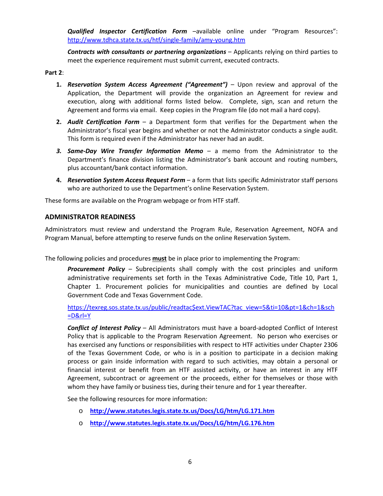*Qualified Inspector Certification Form* –available online under "Program Resources": http://www.tdhca.state.tx.us/htf/single-family/amy-young.htm

*Contracts with consultants or partnering organizations* – Applicants relying on third parties to meet the experience requirement must submit current, executed contracts.

#### **Part 2**:

- **1.** *Reservation System Access Agreement ("Agreement")* Upon review and approval of the Application, the Department will provide the organization an Agreement for review and execution, along with additional forms listed below. Complete, sign, scan and return the Agreement and forms via email. Keep copies in the Program file (do not mail a hard copy).
- **2.** *Audit Certification Form* a Department form that verifies for the Department when the Administrator's fiscal year begins and whether or not the Administrator conducts a single audit. This form is required even if the Administrator has never had an audit.
- *3. Same-Day Wire Transfer Information Memo* a memo from the Administrator to the Department's finance division listing the Administrator's bank account and routing numbers, plus accountant/bank contact information.
- **4.** *Reservation System Access Request Form* a form that lists specific Administrator staff persons who are authorized to use the Department's online Reservation System.

These forms are available on the Program webpage or from HTF staff.

#### **ADMINISTRATOR READINESS**

Administrators must review and understand the Program Rule, Reservation Agreement, NOFA and Program Manual, before attempting to reserve funds on the online Reservation System.

The following policies and procedures **must** be in place prior to implementing the Program:

*Procurement Policy* – Subrecipients shall comply with the cost principles and uniform administrative requirements set forth in the Texas Administrative Code, Title 10, Part 1, Chapter 1. Procurement policies for municipalities and counties are defined by Local Government Code and Texas Government Code.

https://texreg.sos.state.tx.us/public/readtac\$ext.ViewTAC?tac view=5&ti=10&pt=1&ch=1&sch  $=$ D&rl=Y

*Conflict of Interest Policy* – All Administrators must have a board-adopted Conflict of Interest Policy that is applicable to the Program Reservation Agreement. No person who exercises or has exercised any functions or responsibilities with respect to HTF activities under Chapter 2306 of the Texas Government Code, or who is in a position to participate in a decision making process or gain inside information with regard to such activities, may obtain a personal or financial interest or benefit from an HTF assisted activity, or have an interest in any HTF Agreement, subcontract or agreement or the proceeds, either for themselves or those with whom they have family or business ties, during their tenure and for 1 year thereafter.

See the following resources for more information:

- o **http://www.statutes.legis.state.tx.us/Docs/LG/htm/LG.171.htm**
- o **http://www.statutes.legis.state.tx.us/Docs/LG/htm/LG.176.htm**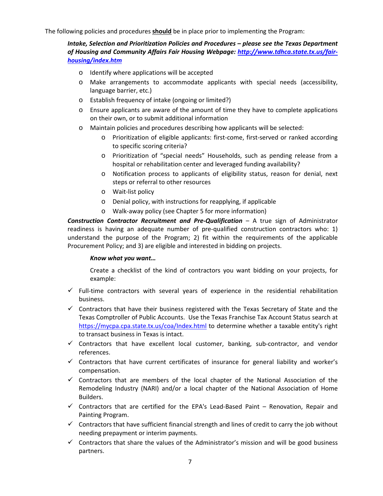The following policies and procedures **should** be in place prior to implementing the Program:

*Intake, Selection and Prioritization Policies and Procedures – please see the Texas Department of Housing and Community Affairs Fair Housing Webpage: http://www.tdhca.state.tx.us/fairhousing/index.htm*

- o Identify where applications will be accepted
- o Make arrangements to accommodate applicants with special needs (accessibility, language barrier, etc.)
- o Establish frequency of intake (ongoing or limited?)
- o Ensure applicants are aware of the amount of time they have to complete applications on their own, or to submit additional information
- o Maintain policies and procedures describing how applicants will be selected:
	- o Prioritization of eligible applicants: first-come, first-served or ranked according to specific scoring criteria?
	- o Prioritization of "special needs" Households, such as pending release from a hospital or rehabilitation center and leveraged funding availability?
	- o Notification process to applicants of eligibility status, reason for denial, next steps or referral to other resources
	- o Wait-list policy
	- o Denial policy, with instructions for reapplying, if applicable
	- o Walk-away policy (see Chapter 5 for more information)

*Construction Contractor Recruitment and Pre-Qualification* – A true sign of Administrator readiness is having an adequate number of pre-qualified construction contractors who: 1) understand the purpose of the Program; 2) fit within the requirements of the applicable Procurement Policy; and 3) are eligible and interested in bidding on projects.

#### *Know what you want…*

Create a checklist of the kind of contractors you want bidding on your projects, for example:

- $\checkmark$  Full-time contractors with several years of experience in the residential rehabilitation business.
- $\checkmark$  Contractors that have their business registered with the Texas Secretary of State and the Texas Comptroller of Public Accounts. Use the Texas Franchise Tax Account Status search at https://mycpa.cpa.state.tx.us/coa/Index.html to determine whether a taxable entity's right to transact business in Texas is intact.
- $\checkmark$  Contractors that have excellent local customer, banking, sub-contractor, and vendor references.
- $\checkmark$  Contractors that have current certificates of insurance for general liability and worker's compensation.
- $\checkmark$  Contractors that are members of the local chapter of the National Association of the Remodeling Industry (NARI) and/or a local chapter of the National Association of Home Builders.
- $\checkmark$  Contractors that are certified for the EPA's Lead-Based Paint Renovation, Repair and Painting Program.
- $\checkmark$  Contractors that have sufficient financial strength and lines of credit to carry the job without needing prepayment or interim payments.
- $\checkmark$  Contractors that share the values of the Administrator's mission and will be good business partners.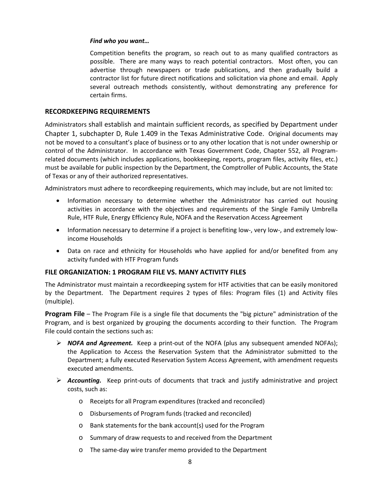#### *Find who you want…*

Competition benefits the program, so reach out to as many qualified contractors as possible. There are many ways to reach potential contractors. Most often, you can advertise through newspapers or trade publications, and then gradually build a contractor list for future direct notifications and solicitation via phone and email. Apply several outreach methods consistently, without demonstrating any preference for certain firms.

#### **RECORDKEEPING REQUIREMENTS**

Administrators shall establish and maintain sufficient records, as specified by Department under Chapter 1, subchapter D, Rule 1.409 in the Texas Administrative Code. Original documents may not be moved to a consultant's place of business or to any other location that is not under ownership or control of the Administrator. In accordance with Texas Government Code, Chapter 552, all Programrelated documents (which includes applications, bookkeeping, reports, program files, activity files, etc.) must be available for public inspection by the Department, the Comptroller of Public Accounts, the State of Texas or any of their authorized representatives.

Administrators must adhere to recordkeeping requirements, which may include, but are not limited to:

- Information necessary to determine whether the Administrator has carried out housing activities in accordance with the objectives and requirements of the Single Family Umbrella Rule, HTF Rule, Energy Efficiency Rule, NOFA and the Reservation Access Agreement
- Information necessary to determine if a project is benefiting low-, very low-, and extremely lowincome Households
- Data on race and ethnicity for Households who have applied for and/or benefited from any activity funded with HTF Program funds

#### **FILE ORGANIZATION: 1 PROGRAM FILE VS. MANY ACTIVITY FILES**

The Administrator must maintain a recordkeeping system for HTF activities that can be easily monitored by the Department. The Department requires 2 types of files: Program files (1) and Activity files (multiple).

**Program File** – The Program File is a single file that documents the "big picture" administration of the Program, and is best organized by grouping the documents according to their function. The Program File could contain the sections such as:

- *NOFA and Agreement.* Keep a print-out of the NOFA (plus any subsequent amended NOFAs); the Application to Access the Reservation System that the Administrator submitted to the Department; a fully executed Reservation System Access Agreement, with amendment requests executed amendments.
- *Accounting.* Keep print-outs of documents that track and justify administrative and project costs, such as:
	- o Receipts for all Program expenditures (tracked and reconciled)
	- o Disbursements of Program funds (tracked and reconciled)
	- o Bank statements for the bank account(s) used for the Program
	- o Summary of draw requests to and received from the Department
	- o The same-day wire transfer memo provided to the Department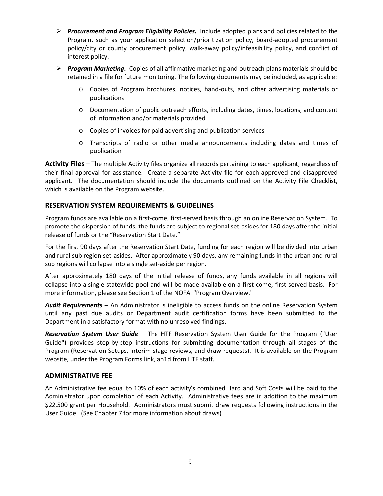- *Procurement and Program Eligibility Policies***.** Include adopted plans and policies related to the Program, such as your application selection/prioritization policy, board-adopted procurement policy/city or county procurement policy, walk-away policy/infeasibility policy, and conflict of interest policy.
- *Program Marketing***.** Copies of all affirmative marketing and outreach plans materials should be retained in a file for future monitoring. The following documents may be included, as applicable:
	- o Copies of Program brochures, notices, hand-outs, and other advertising materials or publications
	- o Documentation of public outreach efforts, including dates, times, locations, and content of information and/or materials provided
	- o Copies of invoices for paid advertising and publication services
	- o Transcripts of radio or other media announcements including dates and times of publication

**Activity Files** – The multiple Activity files organize all records pertaining to each applicant, regardless of their final approval for assistance. Create a separate Activity file for each approved and disapproved applicant. The documentation should include the documents outlined on the Activity File Checklist, which is available on the Program website.

#### **RESERVATION SYSTEM REQUIREMENTS & GUIDELINES**

Program funds are available on a first-come, first-served basis through an online Reservation System. To promote the dispersion of funds, the funds are subject to regional set-asides for 180 days after the initial release of funds or the "Reservation Start Date."

For the first 90 days after the Reservation Start Date, funding for each region will be divided into urban and rural sub region set-asides. After approximately 90 days, any remaining funds in the urban and rural sub regions will collapse into a single set-aside per region.

After approximately 180 days of the initial release of funds, any funds available in all regions will collapse into a single statewide pool and will be made available on a first-come, first-served basis. For more information, please see Section 1 of the NOFA, "Program Overview."

*Audit Requirements* – An Administrator is ineligible to access funds on the online Reservation System until any past due audits or Department audit certification forms have been submitted to the Department in a satisfactory format with no unresolved findings.

*Reservation System User Guide* – The HTF Reservation System User Guide for the Program ("User Guide") provides step-by-step instructions for submitting documentation through all stages of the Program (Reservation Setups, interim stage reviews, and draw requests). It is available on the Program website, under the Program Forms link, an1d from HTF staff.

#### **ADMINISTRATIVE FEE**

An Administrative fee equal to 10% of each activity's combined Hard and Soft Costs will be paid to the Administrator upon completion of each Activity. Administrative fees are in addition to the maximum \$22,500 grant per Household. Administrators must submit draw requests following instructions in the User Guide. (See Chapter 7 for more information about draws)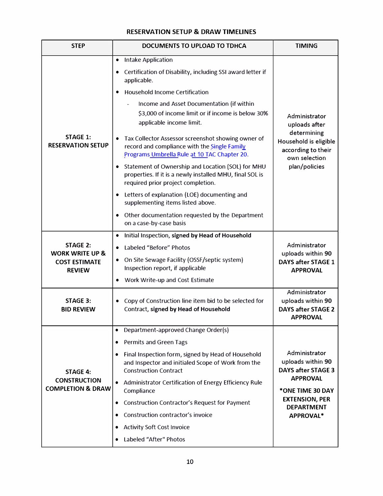#### **RESERVATION SETUP & DRAW TIMELINES**

| <b>STEP</b>                                                                            | DOCUMENTS TO UPLOAD TO TDHCA                                                                                                                                                                                        | <b>TIMING</b>                                                                      |
|----------------------------------------------------------------------------------------|---------------------------------------------------------------------------------------------------------------------------------------------------------------------------------------------------------------------|------------------------------------------------------------------------------------|
|                                                                                        | <b>Intake Application</b><br>$\bullet$<br>Certification of Disability, including SSI award letter if<br>applicable.<br><b>Household Income Certification</b>                                                        |                                                                                    |
|                                                                                        | Income and Asset Documentation (if within<br>\$3,000 of income limit or if income is below 30%<br>applicable income limit.                                                                                          | Administrator<br>uploads after                                                     |
| <b>STAGE 1:</b><br><b>RESERVATION SETUP</b>                                            | Tax Collector Assessor screenshot showing owner of<br>$\bullet$<br>record and compliance with the Single Family<br>Programs Umbrella Rule at 10 TAC Chapter 20.                                                     | determining<br>Household is eligible<br>according to their<br>own selection        |
|                                                                                        | Statement of Ownership and Location (SOL) for MHU<br>$\bullet$<br>properties. If it is a newly installed MHU, final SOL is<br>required prior project completion.                                                    | plan/policies                                                                      |
|                                                                                        | Letters of explanation (LOE) documenting and<br>supplementing items listed above.                                                                                                                                   |                                                                                    |
|                                                                                        | Other documentation requested by the Department<br>on a case-by-case basis                                                                                                                                          |                                                                                    |
| <b>STAGE 2:</b><br><b>WORK WRITE UP &amp;</b><br><b>COST ESTIMATE</b><br><b>REVIEW</b> | Initial Inspection, signed by Head of Household<br>Labeled "Before" Photos<br>$\bullet$<br>On Site Sewage Facility (OSSF/septic system)<br>٠<br>Inspection report, if applicable<br>Work Write-up and Cost Estimate | Administrator<br>uploads within 90<br><b>DAYS after STAGE 1</b><br><b>APPROVAL</b> |
| <b>STAGE 3:</b><br><b>BID REVIEW</b>                                                   | Copy of Construction line item bid to be selected for<br>٠<br>Contract, signed by Head of Household                                                                                                                 | Administrator<br>uploads within 90<br><b>DAYS after STAGE 2</b><br><b>APPROVAL</b> |
|                                                                                        | Department-approved Change Order(s)<br>$\bullet$                                                                                                                                                                    |                                                                                    |
| <b>STAGE 4:</b>                                                                        | <b>Permits and Green Tags</b><br>Final Inspection form, signed by Head of Household<br>and Inspector and initialed Scope of Work from the<br><b>Construction Contract</b>                                           | Administrator<br>uploads within 90<br><b>DAYS after STAGE 3</b><br><b>APPROVAL</b> |
| <b>CONSTRUCTION</b><br><b>COMPLETION &amp; DRAW</b>                                    | Administrator Certification of Energy Efficiency Rule<br>Compliance                                                                                                                                                 | *ONE TIME 30 DAY                                                                   |
|                                                                                        | <b>Construction Contractor's Request for Payment</b>                                                                                                                                                                | <b>EXTENSION, PER</b><br><b>DEPARTMENT</b>                                         |
|                                                                                        | Construction contractor's invoice<br><b>Activity Soft Cost Invoice</b>                                                                                                                                              | APPROVAL*                                                                          |
|                                                                                        | Labeled "After" Photos                                                                                                                                                                                              |                                                                                    |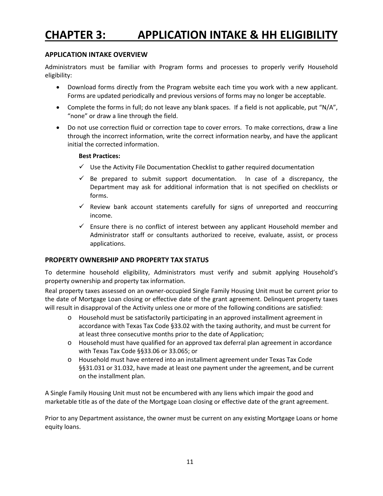## **CHAPTER 3: APPLICATION INTAKE & HH ELIGIBILITY**

#### **APPLICATION INTAKE OVERVIEW**

Administrators must be familiar with Program forms and processes to properly verify Household eligibility:

- Download forms directly from the Program website each time you work with a new applicant. Forms are updated periodically and previous versions of forms may no longer be acceptable.
- Complete the forms in full; do not leave any blank spaces. If a field is not applicable, put "N/A", "none" or draw a line through the field.
- Do not use correction fluid or correction tape to cover errors. To make corrections, draw a line through the incorrect information, write the correct information nearby, and have the applicant initial the corrected information.

#### **Best Practices:**

- $\checkmark$  Use the Activity File Documentation Checklist to gather required documentation
- $\checkmark$  Be prepared to submit support documentation. In case of a discrepancy, the Department may ask for additional information that is not specified on checklists or forms.
- $\checkmark$  Review bank account statements carefully for signs of unreported and reoccurring income.
- $\checkmark$  Ensure there is no conflict of interest between any applicant Household member and Administrator staff or consultants authorized to receive, evaluate, assist, or process applications.

#### **PROPERTY OWNERSHIP AND PROPERTY TAX STATUS**

To determine household eligibility, Administrators must verify and submit applying Household's property ownership and property tax information.

Real property taxes assessed on an owner-occupied Single Family Housing Unit must be current prior to the date of Mortgage Loan closing or effective date of the grant agreement. Delinquent property taxes will result in disapproval of the Activity unless one or more of the following conditions are satisfied:

- o Household must be satisfactorily participating in an approved installment agreement in accordance with Texas Tax Code §33.02 with the taxing authority, and must be current for at least three consecutive months prior to the date of Application;
- o Household must have qualified for an approved tax deferral plan agreement in accordance with Texas Tax Code §§33.06 or 33.065; or
- o Household must have entered into an installment agreement under Texas Tax Code §§31.031 or 31.032, have made at least one payment under the agreement, and be current on the installment plan.

A Single Family Housing Unit must not be encumbered with any liens which impair the good and marketable title as of the date of the Mortgage Loan closing or effective date of the grant agreement.

Prior to any Department assistance, the owner must be current on any existing Mortgage Loans or home equity loans.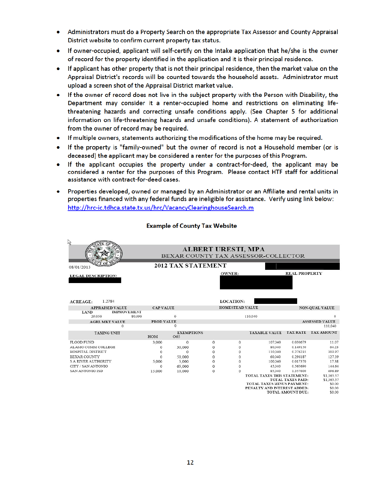- Administrators must do a Property Search on the appropriate Tax Assessor and County Appraisal District website to confirm current property tax status.
- If owner-occupied, applicant will self-certify on the Intake application that he/she is the owner of record for the property identified in the application and it is their principal residence.
- If applicant has other property that is not their principal residence, then the market value on the Appraisal District's records will be counted towards the household assets. Administrator must upload a screen shot of the Appraisal District market value.
- If the owner of record does not live in the subject property with the Person with Disability, the Department may consider it a renter-occupied home and restrictions on eliminating lifethreatening hazards and correcting unsafe conditions apply. (See Chapter 5 for additional information on life-threatening hazards and unsafe conditions). A statement of authorization from the owner of record may be required.
- If multiple owners, statements authorizing the modifications of the home may be required.
- If the property is "family-owned" but the owner of record is not a Household member (or is deceased) the applicant may be considered a renter for the purposes of this Program.
- . If the applicant occupies the property under a contract-for-deed, the applicant may be considered a renter for the purposes of this Program. Please contact HTF staff for additional assistance with contract-for-deed cases.
- Properties developed, owned or managed by an Administrator or an Affiliate and rental units in  $\bullet$ properties financed with any federal funds are ineligible for assistance. Verify using link below: http://hrc-ic.tdhca.state.tx.us/hrc/VacancyClearinghouseSearch.m

#### **Example of County Tax Website**

| R                                 |                                                                  |                           |          |                  |                                                           |                          |                       |
|-----------------------------------|------------------------------------------------------------------|---------------------------|----------|------------------|-----------------------------------------------------------|--------------------------|-----------------------|
|                                   | <b>ALBERT URESTI, MPA</b><br>BEXAR COUNTY TAX ASSESSOR-COLLECTOR |                           |          |                  |                                                           |                          |                       |
| 08/01/2013                        |                                                                  | <b>2012 TAX STATEMENT</b> |          |                  |                                                           |                          |                       |
| <b>LEGAL DESCRIPTION:</b>         |                                                                  |                           |          | <b>OWNER:</b>    |                                                           | <b>REAL PROPERTY</b>     |                       |
| 1.2784<br><b>ACREAGE:</b>         |                                                                  |                           |          | <b>LOCATION:</b> |                                                           |                          |                       |
| <b>APPRAISED VALUE</b>            | <b>CAP VALUE</b>                                                 |                           |          | HOMESTEAD VALUE  |                                                           |                          | <b>NON-QUAL VALUE</b> |
| <b>IMPROVEMENT</b><br><b>LAND</b> |                                                                  |                           |          |                  |                                                           |                          |                       |
| 29,050<br>80,990                  |                                                                  | $\Omega$                  |          |                  | 110,040                                                   |                          | $\Omega$              |
| <b>AGRI, MKT VALUE</b>            | PROD VALUE                                                       |                           |          |                  |                                                           |                          | <b>ASSESSED VALUE</b> |
| 0                                 |                                                                  | 0                         |          |                  |                                                           |                          | 110,040               |
| <b>TAXING UNIT</b>                | HOM                                                              | <b>EXEMPTIONS</b><br>O65  |          |                  | <b>TAXABLE VALUE</b>                                      | <b>TAX RATE</b>          | <b>TAX AMOUNT</b>     |
| <b>FLOOD FUND</b>                 | 3.000                                                            | $\Omega$                  | 0        | 0                | 107,040                                                   | 0.030679                 | 11.07                 |
| ALAMO COMM COLLEGE                | 0                                                                | 30,000                    | 0        | 0                | 80,040                                                    | 0.149150                 | 64.23                 |
| HOSPITAL DISTRICT                 | $\overline{0}$                                                   | $\mathbf 0$               | 0        | $\overline{0}$   | 110,040                                                   | 0.276235                 | 303.97                |
| BEXAR COUNTY                      | $\Omega$                                                         | 50,000                    | 0        | 0                | 60.040                                                    | 0.296187                 | 127.39                |
| <b>S A RIVER AUTHORITY</b>        | 5.000                                                            | 5,000                     | $\Omega$ | $\Omega$         | 100,040                                                   | 0.017370                 | 17.38                 |
| CITY / SAN ANTONIO                | $\circ$                                                          | 65,000                    | 0        | $\circ$          | 45,040                                                    | 0.565690                 | 144.64                |
| <b>SAN ANTONIO ISD</b>            | 15,000                                                           | 10,000                    | 0        | 0                | 85,040                                                    | 1.357600                 | 696.89                |
|                                   |                                                                  |                           |          |                  | TOTAL TAXES THIS STATEMENT:                               |                          | \$1,365.57            |
|                                   |                                                                  |                           |          |                  |                                                           | <b>TOTAL TAXES PAID:</b> | \$1,365.57            |
|                                   |                                                                  |                           |          |                  | TOTAL TAXES MINUS PAYMENT:<br>PENALTY AND INTEREST ADDED: |                          | \$0.00<br>\$0.00      |
|                                   |                                                                  |                           |          |                  |                                                           | TOTAL AMOUNT DUE:        | \$0.00                |
|                                   |                                                                  |                           |          |                  |                                                           |                          |                       |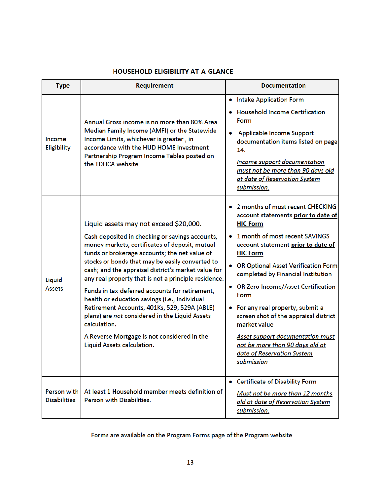### **HOUSEHOLD ELIGIBILITY AT-A-GLANCE**

| <b>Type</b>                        | Requirement                                                                                                                                                                                                                                                                                                                                                                                                                                                                                                                                                                                                                                                      | <b>Documentation</b>                                                                                                                                                                                                                                                                                                                                                                                                                                                                                                                                                  |
|------------------------------------|------------------------------------------------------------------------------------------------------------------------------------------------------------------------------------------------------------------------------------------------------------------------------------------------------------------------------------------------------------------------------------------------------------------------------------------------------------------------------------------------------------------------------------------------------------------------------------------------------------------------------------------------------------------|-----------------------------------------------------------------------------------------------------------------------------------------------------------------------------------------------------------------------------------------------------------------------------------------------------------------------------------------------------------------------------------------------------------------------------------------------------------------------------------------------------------------------------------------------------------------------|
| Income<br>Eligibility              | Annual Gross income is no more than 80% Area<br>Median Family Income (AMFI) or the Statewide<br>Income Limits, whichever is greater, in<br>accordance with the HUD HOME Investment<br>Partnership Program Income Tables posted on<br>the TDHCA website                                                                                                                                                                                                                                                                                                                                                                                                           | • Intake Application Form<br><b>Household Income Certification</b><br>Form<br>Applicable Income Support<br>۰<br>documentation items listed on page<br>14.<br><b>Income support documentation</b><br>must not be more than 90 days old<br>at date of Reservation System<br>submission.                                                                                                                                                                                                                                                                                 |
| Liquid<br>Assets                   | Liquid assets may not exceed \$20,000.<br>Cash deposited in checking or savings accounts,<br>money markets, certificates of deposit, mutual<br>funds or brokerage accounts; the net value of<br>stocks or bonds that may be easily converted to<br>cash; and the appraisal district's market value for<br>any real property that is not a principle residence.<br>Funds in tax-deferred accounts for retirement,<br>health or education savings (i.e., Individual<br>Retirement Accounts, 401Ks, 529, 529A (ABLE)<br>plans) are not considered in the Liquid Assets<br>calculation.<br>A Reverse Mortgage is not considered in the<br>Liquid Assets calculation. | 2 months of most recent CHECKING<br>$\bullet$<br>account statements prior to date of<br><b>HIC Form</b><br>1 month of most recent SAVINGS<br>account statement prior to date of<br><b>HIC Form</b><br>• OR Optional Asset Verification Form<br>completed by Financial Institution<br>• OR Zero Income/Asset Certification<br><b>Form</b><br>For any real property, submit a<br>screen shot of the appraisal district<br>market value<br><b>Asset support documentation must</b><br>not be more than 90 days old at<br>date of Reservation System<br><u>submission</u> |
| Person with<br><b>Disabilities</b> | At least 1 Household member meets definition of<br>Person with Disabilities.                                                                                                                                                                                                                                                                                                                                                                                                                                                                                                                                                                                     | • Certificate of Disability Form<br>Must not be more than 12 months<br>old at date of Reservation System<br>submission.                                                                                                                                                                                                                                                                                                                                                                                                                                               |

Forms are available on the Program Forms page of the Program website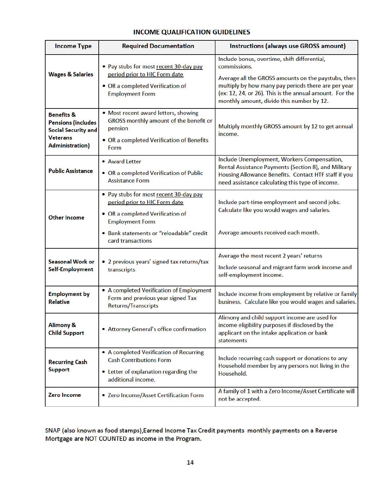#### **INCOME QUALIFICATION GUIDELINES**

| <b>Income Type</b>                                                                                                     | <b>Required Documentation</b>                                                                                                                                                                          | Instructions (always use GROSS amount)                                                                                                                                                                                                                                             |
|------------------------------------------------------------------------------------------------------------------------|--------------------------------------------------------------------------------------------------------------------------------------------------------------------------------------------------------|------------------------------------------------------------------------------------------------------------------------------------------------------------------------------------------------------------------------------------------------------------------------------------|
| <b>Wages &amp; Salaries</b>                                                                                            | . Pay stubs for most recent 30-day pay<br>period prior to HIC Form date<br>• OR a completed Verification of<br><b>Employment Form</b>                                                                  | Include bonus, overtime, shift differential,<br>commissions.<br>Average all the GROSS amounts on the paystubs, then<br>multiply by how many pay periods there are per year<br>(ex: 12, 24, or 26). This is the annual amount. For the<br>monthly amount, divide this number by 12. |
| <b>Benefits &amp;</b><br><b>Pensions (includes</b><br><b>Social Security and</b><br><b>Veterans</b><br>Administration) | . Most recent award letters, showing<br>GROSS monthly amount of the benefit or<br>pension<br>• OR a completed Verification of Benefits<br>Form                                                         | Multiply monthly GROSS amount by 12 to get annual<br>income.                                                                                                                                                                                                                       |
| <b>Public Assistance</b>                                                                                               | • Award Letter<br>• OR a completed Verification of Public<br><b>Assistance Form</b>                                                                                                                    | Include Unemployment, Workers Compensation,<br>Rental Assistance Payments (Section 8), and Military<br>Housing Allowance Benefits. Contact HTF staff if you<br>need assistance calculating this type of income.                                                                    |
| <b>Other Income</b>                                                                                                    | • Pay stubs for most recent 30-day pay<br>period prior to HIC Form date<br>• OR a completed Verification of<br><b>Employment Form</b><br>• Bank statements or "reloadable" credit<br>card transactions | Include part-time employment and second jobs.<br>Calculate like you would wages and salaries.<br>Average amounts received each month.                                                                                                                                              |
| <b>Seasonal Work or</b><br>Self-Employment                                                                             | • 2 previous years' signed tax returns/tax<br>transcripts                                                                                                                                              | Average the most recent 2 years' returns<br>Include seasonal and migrant farm work income and<br>self-employment income.                                                                                                                                                           |
| <b>Employment by</b><br><b>Relative</b>                                                                                | • A completed Verification of Employment<br>Form and previous year signed Tax<br>Returns/Transcripts                                                                                                   | Include income from employment by relative or family<br>business. Calculate like you would wages and salaries.                                                                                                                                                                     |
| <b>Alimony &amp;</b><br><b>Child Support</b>                                                                           | • Attorney General's office confirmation                                                                                                                                                               | Alimony and child support income are used for<br>income eligibility purposes if disclosed by the<br>applicant on the intake application or bank<br>statements                                                                                                                      |
| <b>Recurring Cash</b><br><b>Support</b>                                                                                | • A completed Verification of Recurring<br><b>Cash Contributions Form</b><br>• Letter of explanation regarding the<br>additional income.                                                               | Include recurring cash support or donations to any<br>Household member by any persons not living in the<br>Household.                                                                                                                                                              |
| Zero Income                                                                                                            | • Zero Income/Asset Certification Form                                                                                                                                                                 | A family of 1 with a Zero Income/Asset Certificate will<br>not be accepted.                                                                                                                                                                                                        |

#### SNAP (also known as food stamps), Earned Income Tax Credit payments monthly payments on a Reverse Mortgage are NOT COUNTED as income in the Program.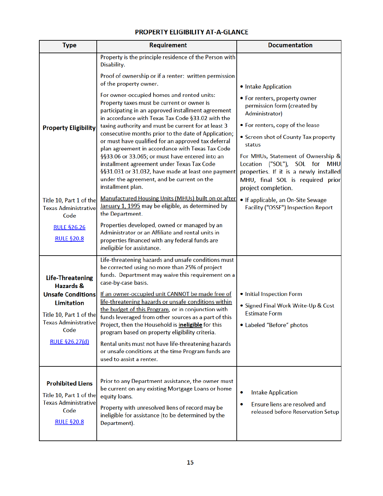### PROPERTY ELIGIBILITY AT-A-GLANCE

| <b>Type</b>                                                                                                                                                                                 | <b>Requirement</b>                                                                                                                                                                                                                                                                                                                                                                                                                                                                                                                                                                                                                                                                                                                                                                                                  | <b>Documentation</b>                                                                                                                                                                                                                                                                                                                                        |  |  |
|---------------------------------------------------------------------------------------------------------------------------------------------------------------------------------------------|---------------------------------------------------------------------------------------------------------------------------------------------------------------------------------------------------------------------------------------------------------------------------------------------------------------------------------------------------------------------------------------------------------------------------------------------------------------------------------------------------------------------------------------------------------------------------------------------------------------------------------------------------------------------------------------------------------------------------------------------------------------------------------------------------------------------|-------------------------------------------------------------------------------------------------------------------------------------------------------------------------------------------------------------------------------------------------------------------------------------------------------------------------------------------------------------|--|--|
| <b>Property Eligibility</b>                                                                                                                                                                 | Property is the principle residence of the Person with<br>Disability.<br>Proof of ownership or if a renter: written permission<br>of the property owner.<br>For owner-occupied homes and rented units:<br>Property taxes must be current or owner is<br>participating in an approved installment agreement<br>in accordance with Texas Tax Code §33.02 with the<br>taxing authority and must be current for at least 3<br>consecutive months prior to the date of Application;<br>or must have qualified for an approved tax deferral<br>plan agreement in accordance with Texas Tax Code<br>§§33.06 or 33.065; or must have entered into an<br>installment agreement under Texas Tax Code<br>§§31.031 or 31.032, have made at least one payment<br>under the agreement, and be current on the<br>installment plan. | • Intake Application<br>• For renters, property owner<br>permission form (created by<br>Administrator)<br>• For renters, copy of the lease<br>• Screen shot of County Tax property<br>status<br>For MHUs, Statement of Ownership &<br>Location ("SOL"), SOL for<br><b>MHU</b><br>properties. If it is a newly installed<br>MHU, final SOL is required prior |  |  |
| Title 10, Part 1 of the<br><b>Texas Administrative</b><br>Code<br><b>RULE §26.26</b><br><b>RULE §20.8</b>                                                                                   | Manufactured Housing Units (MHUs) built on or after<br>January 1, 1995 may be eligible, as determined by<br>the Department.<br>Properties developed, owned or managed by an<br>Administrator or an Affiliate and rental units in<br>properties financed with any federal funds are                                                                                                                                                                                                                                                                                                                                                                                                                                                                                                                                  | project completion.<br>. If applicable, an On-Site Sewage<br>Facility ("OSSF") Inspection Report                                                                                                                                                                                                                                                            |  |  |
| <b>Life-Threatening</b><br><b>Hazards &amp;</b><br><b>Unsafe Conditions</b><br><b>Limitation</b><br>Title 10, Part 1 of the<br><b>Texas Administrative</b><br>Code<br><b>RULE §26.27(d)</b> | ineligible for assistance.<br>Life-threatening hazards and unsafe conditions must<br>be corrected using no more than 25% of project<br>funds. Department may waive this requirement on a<br>case-by-case basis.<br>If an owner-occupied unit CANNOT be made free of<br>life-threatening hazards or unsafe conditions within<br>the budget of this Program, or in conjunction with<br>funds leveraged from other sources as a part of this<br>Project, then the Household is <i>ineligible</i> for this<br>program based on property eligibility criteria.<br>Rental units must not have life-threatening hazards<br>or unsafe conditions at the time Program funds are<br>used to assist a renter.                                                                                                                  | • Initial Inspection Form<br>• Signed Final Work Write-Up & Cost<br><b>Estimate Form</b><br>• Labeled "Before" photos                                                                                                                                                                                                                                       |  |  |
| <b>Prohibited Liens</b><br>Title 10, Part 1 of the<br><b>Texas Administrative</b><br>Code<br><b>RULE §20.8</b>                                                                              | Prior to any Department assistance, the owner must<br>be current on any existing Mortgage Loans or home<br>equity loans.<br>Property with unresolved liens of record may be<br>ineligible for assistance (to be determined by the<br>Department).                                                                                                                                                                                                                                                                                                                                                                                                                                                                                                                                                                   | <b>Intake Application</b><br>Ensure liens are resolved and<br>۰<br>released before Reservation Setup                                                                                                                                                                                                                                                        |  |  |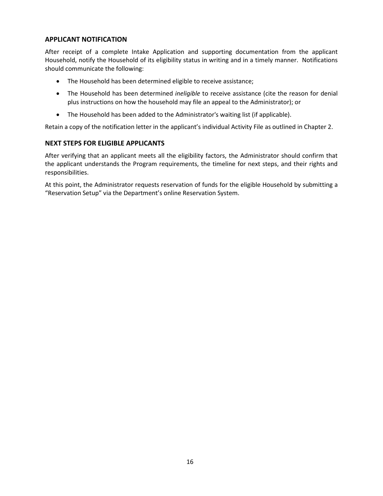#### **APPLICANT NOTIFICATION**

After receipt of a complete Intake Application and supporting documentation from the applicant Household, notify the Household of its eligibility status in writing and in a timely manner. Notifications should communicate the following:

- The Household has been determined eligible to receive assistance;
- The Household has been determined *ineligible* to receive assistance (cite the reason for denial plus instructions on how the household may file an appeal to the Administrator); or
- The Household has been added to the Administrator's waiting list (if applicable).

Retain a copy of the notification letter in the applicant's individual Activity File as outlined in Chapter 2.

#### **NEXT STEPS FOR ELIGIBLE APPLICANTS**

After verifying that an applicant meets all the eligibility factors, the Administrator should confirm that the applicant understands the Program requirements, the timeline for next steps, and their rights and responsibilities.

At this point, the Administrator requests reservation of funds for the eligible Household by submitting a "Reservation Setup" via the Department's online Reservation System.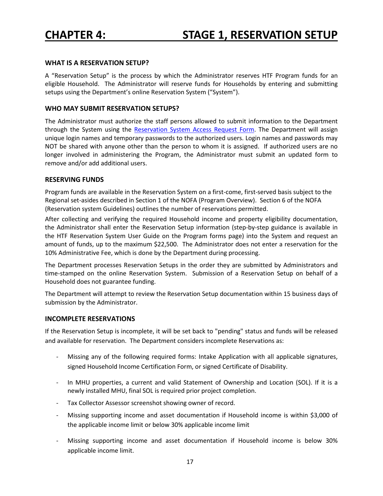#### **WHAT IS A RESERVATION SETUP?**

A "Reservation Setup" is the process by which the Administrator reserves HTF Program funds for an eligible Household. The Administrator will reserve funds for Households by entering and submitting setups using the Department's online Reservation System ("System").

#### **WHO MAY SUBMIT RESERVATION SETUPS?**

The Administrator must authorize the staff persons allowed to submit information to the Department through the System using the Reservation System Access Request Form. The Department will assign unique login names and temporary passwords to the authorized users. Login names and passwords may NOT be shared with anyone other than the person to whom it is assigned. If authorized users are no longer involved in administering the Program, the Administrator must submit an updated form to remove and/or add additional users.

#### **RESERVING FUNDS**

Program funds are available in the Reservation System on a first-come, first-served basis subject to the Regional set-asides described in Section 1 of the NOFA (Program Overview). Section 6 of the NOFA (Reservation system Guidelines) outlines the number of reservations permitted.

After collecting and verifying the required Household income and property eligibility documentation, the Administrator shall enter the Reservation Setup information (step-by-step guidance is available in the HTF Reservation System User Guide on the Program forms page) into the System and request an amount of funds, up to the maximum \$22,500. The Administrator does not enter a reservation for the 10% Administrative Fee, which is done by the Department during processing.

The Department processes Reservation Setups in the order they are submitted by Administrators and time-stamped on the online Reservation System. Submission of a Reservation Setup on behalf of a Household does not guarantee funding.

The Department will attempt to review the Reservation Setup documentation within 15 business days of submission by the Administrator.

#### **INCOMPLETE RESERVATIONS**

If the Reservation Setup is incomplete, it will be set back to "pending" status and funds will be released and available for reservation. The Department considers incomplete Reservations as:

- Missing any of the following required forms: Intake Application with all applicable signatures, signed Household Income Certification Form, or signed Certificate of Disability.
- In MHU properties, a current and valid Statement of Ownership and Location (SOL). If it is a newly installed MHU, final SOL is required prior project completion.
- Tax Collector Assessor screenshot showing owner of record.
- Missing supporting income and asset documentation if Household income is within \$3,000 of the applicable income limit or below 30% applicable income limit
- Missing supporting income and asset documentation if Household income is below 30% applicable income limit.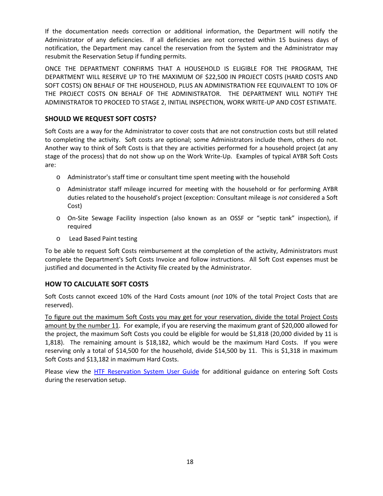If the documentation needs correction or additional information, the Department will notify the Administrator of any deficiencies. If all deficiencies are not corrected within 15 business days of notification, the Department may cancel the reservation from the System and the Administrator may resubmit the Reservation Setup if funding permits.

ONCE THE DEPARTMENT CONFIRMS THAT A HOUSEHOLD IS ELIGIBLE FOR THE PROGRAM, THE DEPARTMENT WILL RESERVE UP TO THE MAXIMUM OF \$22,500 IN PROJECT COSTS (HARD COSTS AND SOFT COSTS) ON BEHALF OF THE HOUSEHOLD, PLUS AN ADMINISTRATION FEE EQUIVALENT TO 10% OF THE PROJECT COSTS ON BEHALF OF THE ADMINISTRATOR. THE DEPARTMENT WILL NOTIFY THE ADMINISTRATOR TO PROCEED TO STAGE 2, INITIAL INSPECTION, WORK WRITE-UP AND COST ESTIMATE.

#### **SHOULD WE REQUEST SOFT COSTS?**

Soft Costs are a way for the Administrator to cover costs that are not construction costs but still related to completing the activity. Soft costs are optional; some Administrators include them, others do not. Another way to think of Soft Costs is that they are activities performed for a household project (at any stage of the process) that do not show up on the Work Write-Up. Examples of typical AYBR Soft Costs are:

- o Administrator's staff time or consultant time spent meeting with the household
- o Administrator staff mileage incurred for meeting with the household or for performing AYBR duties related to the household's project (exception: Consultant mileage is *not* considered a Soft Cost)
- o On-Site Sewage Facility inspection (also known as an OSSF or "septic tank" inspection), if required
- o Lead Based Paint testing

To be able to request Soft Costs reimbursement at the completion of the activity, Administrators must complete the Department's Soft Costs Invoice and follow instructions. All Soft Cost expenses must be justified and documented in the Activity file created by the Administrator.

#### **HOW TO CALCULATE SOFT COSTS**

Soft Costs cannot exceed 10% of the Hard Costs amount (*not* 10% of the total Project Costs that are reserved).

To figure out the maximum Soft Costs you may get for your reservation, divide the total Project Costs amount by the number 11. For example, if you are reserving the maximum grant of \$20,000 allowed for the project, the maximum Soft Costs you could be eligible for would be \$1,818 (20,000 divided by 11 is 1,818). The remaining amount is \$18,182, which would be the maximum Hard Costs. If you were reserving only a total of \$14,500 for the household, divide \$14,500 by 11. This is \$1,318 in maximum Soft Costs and \$13,182 in maximum Hard Costs.

Please view the HTF Reservation System User Guide for additional guidance on entering Soft Costs during the reservation setup.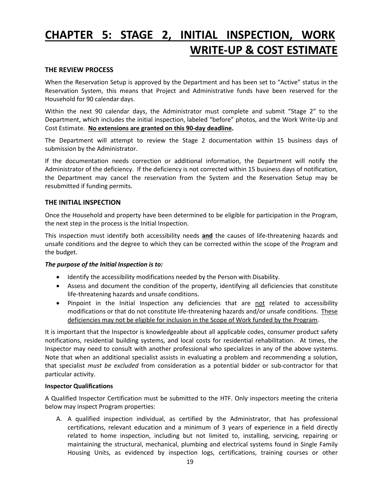# **CHAPTER 5: STAGE 2, INITIAL INSPECTION, WORK WRITE-UP & COST ESTIMATE**

#### **THE REVIEW PROCESS**

When the Reservation Setup is approved by the Department and has been set to "Active" status in the Reservation System, this means that Project and Administrative funds have been reserved for the Household for 90 calendar days.

Within the next 90 calendar days, the Administrator must complete and submit "Stage 2" to the Department, which includes the initial inspection, labeled "before" photos, and the Work Write-Up and Cost Estimate. **No extensions are granted on this 90-day deadline.**

The Department will attempt to review the Stage 2 documentation within 15 business days of submission by the Administrator.

If the documentation needs correction or additional information, the Department will notify the Administrator of the deficiency. If the deficiency is not corrected within 15 business days of notification, the Department may cancel the reservation from the System and the Reservation Setup may be resubmitted if funding permits.

#### **THE INITIAL INSPECTION**

Once the Household and property have been determined to be eligible for participation in the Program, the next step in the process is the Initial Inspection.

This inspection must identify both accessibility needs **and** the causes of life-threatening hazards and unsafe conditions and the degree to which they can be corrected within the scope of the Program and the budget.

#### *The purpose of the Initial Inspection is to:*

- Identify the accessibility modifications needed by the Person with Disability.
- Assess and document the condition of the property, identifying all deficiencies that constitute life-threatening hazards and unsafe conditions.
- Pinpoint in the Initial Inspection any deficiencies that are not related to accessibility modifications or that do not constitute life-threatening hazards and/or unsafe conditions. These deficiencies may not be eligible for inclusion in the Scope of Work funded by the Program.

It is important that the Inspector is knowledgeable about all applicable codes, consumer product safety notifications, residential building systems, and local costs for residential rehabilitation. At times, the Inspector may need to consult with another professional who specializes in any of the above systems. Note that when an additional specialist assists in evaluating a problem and recommending a solution, that specialist *must be excluded* from consideration as a potential bidder or sub-contractor for that particular activity.

#### **Inspector Qualifications**

A Qualified Inspector Certification must be submitted to the HTF. Only inspectors meeting the criteria below may inspect Program properties:

A. A qualified inspection individual, as certified by the Administrator, that has professional certifications, relevant education and a minimum of 3 years of experience in a field directly related to home inspection, including but not limited to, installing, servicing, repairing or maintaining the structural, mechanical, plumbing and electrical systems found in Single Family Housing Units, as evidenced by inspection logs, certifications, training courses or other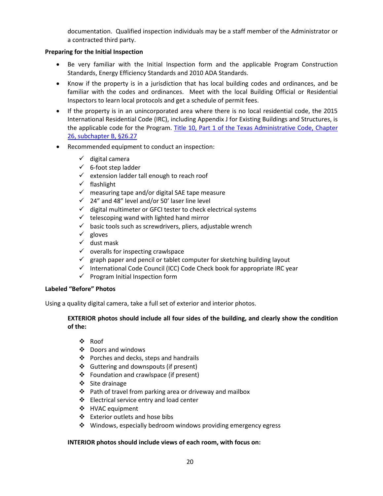documentation. Qualified inspection individuals may be a staff member of the Administrator or a contracted third party.

#### **Preparing for the Initial Inspection**

- Be very familiar with the Initial Inspection form and the applicable Program Construction Standards, Energy Efficiency Standards and 2010 ADA Standards.
- Know if the property is in a jurisdiction that has local building codes and ordinances, and be familiar with the codes and ordinances. Meet with the local Building Official or Residential Inspectors to learn local protocols and get a schedule of permit fees.
- If the property is in an unincorporated area where there is no local residential code, the 2015 International Residential Code (IRC), including Appendix J for Existing Buildings and Structures, is the applicable code for the Program. Title 10, Part 1 of the Texas Administrative Code, Chapter 26, subchapter B, §26.27
- Recommended equipment to conduct an inspection:
	- $\checkmark$  digital camera
	- $6$ -foot step ladder
	- $\checkmark$  extension ladder tall enough to reach roof
	- $\checkmark$  flashlight
	- $\checkmark$  measuring tape and/or digital SAE tape measure
	- $\checkmark$  24" and 48" level and/or 50' laser line level
	- $\checkmark$  digital multimeter or GFCI tester to check electrical systems
	- $\checkmark$  telescoping wand with lighted hand mirror
	- $\checkmark$  basic tools such as screwdrivers, pliers, adjustable wrench
	- $\checkmark$  gloves
	- $\checkmark$  dust mask
	- $\checkmark$  overalls for inspecting crawlspace
	- $\checkmark$  graph paper and pencil or tablet computer for sketching building layout
	- $\checkmark$  International Code Council (ICC) Code Check book for appropriate IRC year
	- $\checkmark$  Program Initial Inspection form

#### **Labeled "Before" Photos**

Using a quality digital camera, take a full set of exterior and interior photos.

#### **EXTERIOR photos should include all four sides of the building, and clearly show the condition of the:**

- ❖ Roof
- $\div$  Doors and windows
- Porches and decks, steps and handrails
- Guttering and downspouts (if present)
- Foundation and crawlspace (if present)
- Site drainage
- Path of travel from parking area or driveway and mailbox
- Electrical service entry and load center
- ❖ HVAC equipment
- Exterior outlets and hose bibs
- $\cdot$  Windows, especially bedroom windows providing emergency egress

#### **INTERIOR photos should include views of each room, with focus on:**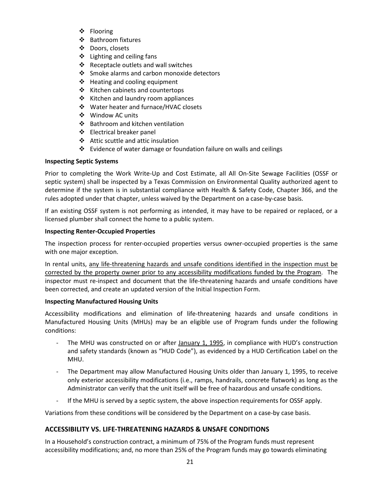- ❖ Flooring
- ❖ Bathroom fixtures
- Doors, closets
- Lighting and ceiling fans
- $\triangleleft$  Receptacle outlets and wall switches
- ❖ Smoke alarms and carbon monoxide detectors
- Heating and cooling equipment
- ❖ Kitchen cabinets and countertops
- ❖ Kitchen and laundry room appliances
- Water heater and furnace/HVAC closets
- Window AC units
- Bathroom and kitchen ventilation
- Electrical breaker panel
- Attic scuttle and attic insulation
- Evidence of water damage or foundation failure on walls and ceilings

#### **Inspecting Septic Systems**

Prior to completing the Work Write-Up and Cost Estimate, all All On-Site Sewage Facilities (OSSF or septic system) shall be inspected by a Texas Commission on Environmental Quality authorized agent to determine if the system is in substantial compliance with Health & Safety Code, Chapter 366, and the rules adopted under that chapter, unless waived by the Department on a case-by-case basis.

If an existing OSSF system is not performing as intended, it may have to be repaired or replaced, or a licensed plumber shall connect the home to a public system.

#### **Inspecting Renter-Occupied Properties**

The inspection process for renter-occupied properties versus owner-occupied properties is the same with one major exception.

In rental units, any life-threatening hazards and unsafe conditions identified in the inspection must be corrected by the property owner prior to any accessibility modifications funded by the Program. The inspector must re-inspect and document that the life-threatening hazards and unsafe conditions have been corrected, and create an updated version of the Initial Inspection Form.

#### **Inspecting Manufactured Housing Units**

Accessibility modifications and elimination of life-threatening hazards and unsafe conditions in Manufactured Housing Units (MHUs) may be an eligible use of Program funds under the following conditions:

- The MHU was constructed on or after January 1, 1995, in compliance with HUD's construction and safety standards (known as "HUD Code"), as evidenced by a HUD Certification Label on the MHU.
- The Department may allow Manufactured Housing Units older than January 1, 1995, to receive only exterior accessibility modifications (i.e., ramps, handrails, concrete flatwork) as long as the Administrator can verify that the unit itself will be free of hazardous and unsafe conditions.
- If the MHU is served by a septic system, the above inspection requirements for OSSF apply.

Variations from these conditions will be considered by the Department on a case-by case basis.

#### **ACCESSIBILITY VS. LIFE-THREATENING HAZARDS & UNSAFE CONDITIONS**

In a Household's construction contract, a minimum of 75% of the Program funds must represent accessibility modifications; and, no more than 25% of the Program funds may go towards eliminating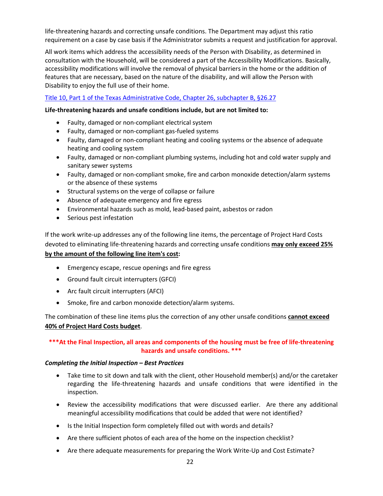life-threatening hazards and correcting unsafe conditions. The Department may adjust this ratio requirement on a case by case basis if the Administrator submits a request and justification for approval.

All work items which address the accessibility needs of the Person with Disability, as determined in consultation with the Household, will be considered a part of the Accessibility Modifications. Basically, accessibility modifications will involve the removal of physical barriers in the home or the addition of features that are necessary, based on the nature of the disability, and will allow the Person with Disability to enjoy the full use of their home.

#### Title 10, Part 1 of the Texas Administrative Code, Chapter 26, subchapter B, §26.27

#### **Life-threatening hazards and unsafe conditions include, but are not limited to:**

- Faulty, damaged or non-compliant electrical system
- Faulty, damaged or non-compliant gas-fueled systems
- Faulty, damaged or non-compliant heating and cooling systems or the absence of adequate heating and cooling system
- Faulty, damaged or non-compliant plumbing systems, including hot and cold water supply and sanitary sewer systems
- Faulty, damaged or non-compliant smoke, fire and carbon monoxide detection/alarm systems or the absence of these systems
- Structural systems on the verge of collapse or failure
- Absence of adequate emergency and fire egress
- Environmental hazards such as mold, lead-based paint, asbestos or radon
- Serious pest infestation

If the work write-up addresses any of the following line items, the percentage of Project Hard Costs devoted to eliminating life-threatening hazards and correcting unsafe conditions **may only exceed 25% by the amount of the following line item's cost:** 

- Emergency escape, rescue openings and fire egress
- Ground fault circuit interrupters (GFCI)
- Arc fault circuit interrupters (AFCI)
- Smoke, fire and carbon monoxide detection/alarm systems.

The combination of these line items plus the correction of any other unsafe conditions **cannot exceed 40% of Project Hard Costs budget**.

#### **\*\*\*At the Final Inspection, all areas and components of the housing must be free of life-threatening hazards and unsafe conditions. \*\*\***

#### *Completing the Initial Inspection – Best Practices*

- Take time to sit down and talk with the client, other Household member(s) and/or the caretaker regarding the life-threatening hazards and unsafe conditions that were identified in the inspection.
- Review the accessibility modifications that were discussed earlier. Are there any additional meaningful accessibility modifications that could be added that were not identified?
- Is the Initial Inspection form completely filled out with words and details?
- Are there sufficient photos of each area of the home on the inspection checklist?
- Are there adequate measurements for preparing the Work Write-Up and Cost Estimate?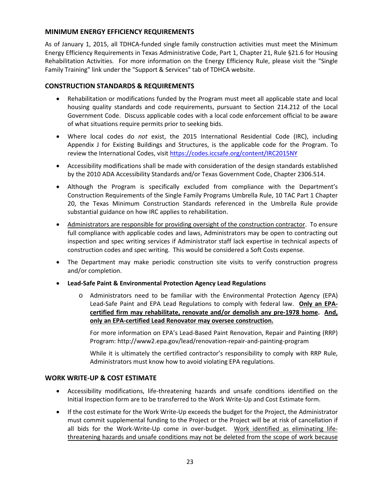#### **MINIMUM ENERGY EFFICIENCY REQUIREMENTS**

As of January 1, 2015, all TDHCA-funded single family construction activities must meet the Minimum Energy Efficiency Requirements in Texas Administrative Code, Part 1, Chapter 21, Rule §21.6 for Housing Rehabilitation Activities. For more information on the Energy Efficiency Rule, please visit the "Single Family Training" link under the "Support & Services" tab of TDHCA website.

#### **CONSTRUCTION STANDARDS & REQUIREMENTS**

- Rehabilitation or modifications funded by the Program must meet all applicable state and local housing quality standards and code requirements, pursuant to Section 214.212 of the Local Government Code. Discuss applicable codes with a local code enforcement official to be aware of what situations require permits prior to seeking bids.
- Where local codes do *not* exist, the 2015 International Residential Code (IRC), including Appendix J for Existing Buildings and Structures, is the applicable code for the Program. To review the International Codes, visit https://codes.iccsafe.org/content/IRC2015NY
- Accessibility modifications shall be made with consideration of the design standards established by the 2010 ADA Accessibility Standards and/or Texas Government Code, Chapter 2306.514.
- Although the Program is specifically excluded from compliance with the Department's Construction Requirements of the Single Family Programs Umbrella Rule, 10 TAC Part 1 Chapter 20, the Texas Minimum Construction Standards referenced in the Umbrella Rule provide substantial guidance on how IRC applies to rehabilitation.
- Administrators are responsible for providing oversight of the construction contractor. To ensure full compliance with applicable codes and laws, Administrators may be open to contracting out inspection and spec writing services if Administrator staff lack expertise in technical aspects of construction codes and spec writing. This would be considered a Soft Costs expense.
- The Department may make periodic construction site visits to verify construction progress and/or completion.
- **Lead-Safe Paint & Environmental Protection Agency Lead Regulations**
	- o Administrators need to be familiar with the Environmental Protection Agency (EPA) Lead-Safe Paint and EPA Lead Regulations to comply with federal law. **Only an EPAcertified firm may rehabilitate, renovate and/or demolish any pre-1978 home. And, only an EPA-certified Lead Renovator may oversee construction.**

For more information on EPA's Lead-Based Paint Renovation, Repair and Painting (RRP) Program: http://www2.epa.gov/lead/renovation-repair-and-painting-program

While it is ultimately the certified contractor's responsibility to comply with RRP Rule, Administrators must know how to avoid violating EPA regulations.

#### **WORK WRITE-UP & COST ESTIMATE**

- Accessibility modifications, life-threatening hazards and unsafe conditions identified on the Initial Inspection form are to be transferred to the Work Write-Up and Cost Estimate form.
- If the cost estimate for the Work Write-Up exceeds the budget for the Project, the Administrator must commit supplemental funding to the Project or the Project will be at risk of cancellation if all bids for the Work-Write-Up come in over-budget. Work identified as eliminating lifethreatening hazards and unsafe conditions may not be deleted from the scope of work because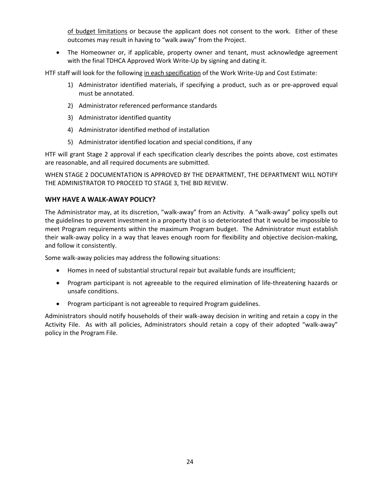of budget limitations or because the applicant does not consent to the work. Either of these outcomes may result in having to "walk away" from the Project.

• The Homeowner or, if applicable, property owner and tenant, must acknowledge agreement with the final TDHCA Approved Work Write-Up by signing and dating it.

HTF staff will look for the following in each specification of the Work Write-Up and Cost Estimate:

- 1) Administrator identified materials, if specifying a product, such as or pre-approved equal must be annotated.
- 2) Administrator referenced performance standards
- 3) Administrator identified quantity
- 4) Administrator identified method of installation
- 5) Administrator identified location and special conditions, if any

HTF will grant Stage 2 approval if each specification clearly describes the points above, cost estimates are reasonable, and all required documents are submitted.

WHEN STAGE 2 DOCUMENTATION IS APPROVED BY THE DEPARTMENT, THE DEPARTMENT WILL NOTIFY THE ADMINISTRATOR TO PROCEED TO STAGE 3, THE BID REVIEW.

#### **WHY HAVE A WALK-AWAY POLICY?**

The Administrator may, at its discretion, "walk-away" from an Activity. A "walk-away" policy spells out the guidelines to prevent investment in a property that is so deteriorated that it would be impossible to meet Program requirements within the maximum Program budget. The Administrator must establish their walk-away policy in a way that leaves enough room for flexibility and objective decision-making, and follow it consistently.

Some walk-away policies may address the following situations:

- Homes in need of substantial structural repair but available funds are insufficient;
- Program participant is not agreeable to the required elimination of life-threatening hazards or unsafe conditions.
- Program participant is not agreeable to required Program guidelines.

Administrators should notify households of their walk-away decision in writing and retain a copy in the Activity File. As with all policies, Administrators should retain a copy of their adopted "walk-away" policy in the Program File.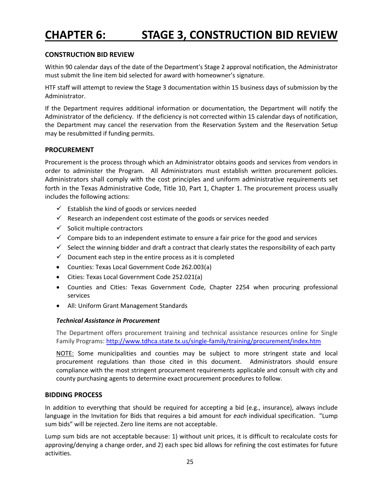# **CHAPTER 6: STAGE 3, CONSTRUCTION BID REVIEW**

#### **CONSTRUCTION BID REVIEW**

Within 90 calendar days of the date of the Department's Stage 2 approval notification, the Administrator must submit the line item bid selected for award with homeowner's signature.

HTF staff will attempt to review the Stage 3 documentation within 15 business days of submission by the Administrator.

If the Department requires additional information or documentation, the Department will notify the Administrator of the deficiency. If the deficiency is not corrected within 15 calendar days of notification, the Department may cancel the reservation from the Reservation System and the Reservation Setup may be resubmitted if funding permits.

#### **PROCUREMENT**

Procurement is the process through which an Administrator obtains goods and services from vendors in order to administer the Program. All Administrators must establish written procurement policies. Administrators shall comply with the cost principles and uniform administrative requirements set forth in the Texas Administrative Code, Title 10, Part 1, Chapter 1. The procurement process usually includes the following actions:

- $\checkmark$  Establish the kind of goods or services needed
- $\checkmark$  Research an independent cost estimate of the goods or services needed
- $\checkmark$  Solicit multiple contractors
- $\checkmark$  Compare bids to an independent estimate to ensure a fair price for the good and services
- $\checkmark$  Select the winning bidder and draft a contract that clearly states the responsibility of each party
- $\checkmark$  Document each step in the entire process as it is completed
- Counties: Texas Local Government Code 262.003(a)
- Cities: Texas Local Government Code 252.021(a)
- Counties and Cities: Texas Government Code, Chapter 2254 when procuring professional services
- All: Uniform Grant Management Standards

#### *Technical Assistance in Procurement*

The Department offers procurement training and technical assistance resources online for Single Family Programs: http://www.tdhca.state.tx.us/single-family/training/procurement/index.htm

NOTE: Some municipalities and counties may be subject to more stringent state and local procurement regulations than those cited in this document. Administrators should ensure compliance with the most stringent procurement requirements applicable and consult with city and county purchasing agents to determine exact procurement procedures to follow.

#### **BIDDING PROCESS**

In addition to everything that should be required for accepting a bid (e.g., insurance), always include language in the Invitation for Bids that requires a bid amount for *each* individual specification. "Lump sum bids" will be rejected. Zero line items are not acceptable.

Lump sum bids are not acceptable because: 1) without unit prices, it is difficult to recalculate costs for approving/denying a change order, and 2) each spec bid allows for refining the cost estimates for future activities.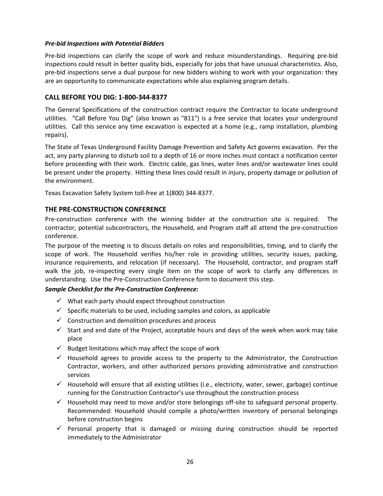#### *Pre-bid Inspections with Potential Bidders*

Pre-bid inspections can clarify the scope of work and reduce misunderstandings. Requiring pre-bid inspections could result in better quality bids, especially for jobs that have unusual characteristics. Also, pre-bid inspections serve a dual purpose for new bidders wishing to work with your organization: they are an opportunity to communicate expectations while also explaining program details.

#### **CALL BEFORE YOU DIG: 1-800-344-8377**

The General Specifications of the construction contract require the Contractor to locate underground utilities. "Call Before You Dig" (also known as "811") is a free service that locates your underground utilities. Call this service any time excavation is expected at a home (e.g., ramp installation, plumbing repairs).

The State of Texas Underground Facility Damage Prevention and Safety Act governs excavation. Per the act, any party planning to disturb soil to a depth of 16 or more inches must contact a notification center before proceeding with their work. Electric cable, gas lines, water lines and/or wastewater lines could be present under the property. Hitting these lines could result in injury, property damage or pollution of the environment.

Texas Excavation Safety System toll-free at 1(800) 344-8377.

#### **THE PRE-CONSTRUCTION CONFERENCE**

Pre-construction conference with the winning bidder at the construction site is required. The contractor, potential subcontractors, the Household, and Program staff all attend the pre-construction conference.

The purpose of the meeting is to discuss details on roles and responsibilities, timing, and to clarify the scope of work. The Household verifies his/her role in providing utilities, security issues, packing, insurance requirements, and relocation (if necessary). The Household, contractor, and program staff walk the job, re-inspecting every single item on the scope of work to clarify any differences in understanding. Use the Pre-Construction Conference form to document this step.

#### *Sample Checklist for the Pre-Construction Conference:*

- $\checkmark$  What each party should expect throughout construction
- $\checkmark$  Specific materials to be used, including samples and colors, as applicable
- $\checkmark$  Construction and demolition procedures and process
- $\checkmark$  Start and end date of the Project, acceptable hours and days of the week when work may take place
- $\checkmark$  Budget limitations which may affect the scope of work
- $\checkmark$  Household agrees to provide access to the property to the Administrator, the Construction Contractor, workers, and other authorized persons providing administrative and construction services
- $\checkmark$  Household will ensure that all existing utilities (i.e., electricity, water, sewer, garbage) continue running for the Construction Contractor's use throughout the construction process
- $\checkmark$  Household may need to move and/or store belongings off-site to safeguard personal property. Recommended: Household should compile a photo/written inventory of personal belongings before construction begins
- $\checkmark$  Personal property that is damaged or missing during construction should be reported immediately to the Administrator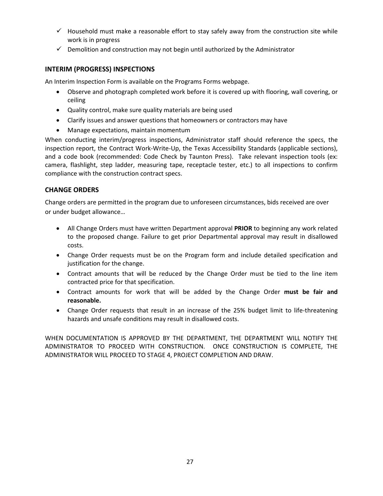- $\checkmark$  Household must make a reasonable effort to stay safely away from the construction site while work is in progress
- $\checkmark$  Demolition and construction may not begin until authorized by the Administrator

#### **INTERIM (PROGRESS) INSPECTIONS**

An Interim Inspection Form is available on the Programs Forms webpage.

- Observe and photograph completed work before it is covered up with flooring, wall covering, or ceiling
- Quality control, make sure quality materials are being used
- Clarify issues and answer questions that homeowners or contractors may have
- Manage expectations, maintain momentum

When conducting interim/progress inspections, Administrator staff should reference the specs, the inspection report, the Contract Work-Write-Up, the Texas Accessibility Standards (applicable sections), and a code book (recommended: Code Check by Taunton Press). Take relevant inspection tools (ex: camera, flashlight, step ladder, measuring tape, receptacle tester, etc.) to all inspections to confirm compliance with the construction contract specs.

#### **CHANGE ORDERS**

Change orders are permitted in the program due to unforeseen circumstances, bids received are over or under budget allowance…

- All Change Orders must have written Department approval **PRIOR** to beginning any work related to the proposed change. Failure to get prior Departmental approval may result in disallowed costs.
- Change Order requests must be on the Program form and include detailed specification and justification for the change.
- Contract amounts that will be reduced by the Change Order must be tied to the line item contracted price for that specification.
- Contract amounts for work that will be added by the Change Order **must be fair and reasonable.**
- Change Order requests that result in an increase of the 25% budget limit to life-threatening hazards and unsafe conditions may result in disallowed costs.

WHEN DOCUMENTATION IS APPROVED BY THE DEPARTMENT, THE DEPARTMENT WILL NOTIFY THE ADMINISTRATOR TO PROCEED WITH CONSTRUCTION. ONCE CONSTRUCTION IS COMPLETE, THE ADMINISTRATOR WILL PROCEED TO STAGE 4, PROJECT COMPLETION AND DRAW.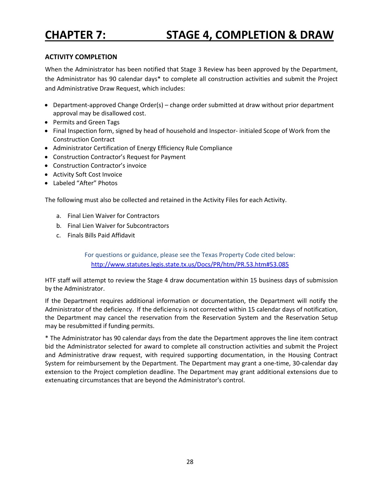#### **ACTIVITY COMPLETION**

When the Administrator has been notified that Stage 3 Review has been approved by the Department, the Administrator has 90 calendar days\* to complete all construction activities and submit the Project and Administrative Draw Request, which includes:

- Department-approved Change Order(s) change order submitted at draw without prior department approval may be disallowed cost.
- Permits and Green Tags
- Final Inspection form, signed by head of household and Inspector- initialed Scope of Work from the Construction Contract
- Administrator Certification of Energy Efficiency Rule Compliance
- Construction Contractor's Request for Payment
- Construction Contractor's invoice
- Activity Soft Cost Invoice
- Labeled "After" Photos

The following must also be collected and retained in the Activity Files for each Activity.

- a. Final Lien Waiver for Contractors
- b. Final Lien Waiver for Subcontractors
- c. Finals Bills Paid Affidavit

For questions or guidance, please see the Texas Property Code cited below: http://www.statutes.legis.state.tx.us/Docs/PR/htm/PR.53.htm#53.085

HTF staff will attempt to review the Stage 4 draw documentation within 15 business days of submission by the Administrator.

If the Department requires additional information or documentation, the Department will notify the Administrator of the deficiency. If the deficiency is not corrected within 15 calendar days of notification, the Department may cancel the reservation from the Reservation System and the Reservation Setup may be resubmitted if funding permits.

\* The Administrator has 90 calendar days from the date the Department approves the line item contract bid the Administrator selected for award to complete all construction activities and submit the Project and Administrative draw request, with required supporting documentation, in the Housing Contract System for reimbursement by the Department. The Department may grant a one-time, 30-calendar day extension to the Project completion deadline. The Department may grant additional extensions due to extenuating circumstances that are beyond the Administrator's control.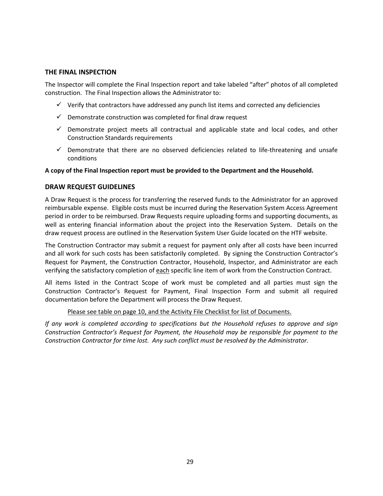#### **THE FINAL INSPECTION**

The Inspector will complete the Final Inspection report and take labeled "after" photos of all completed construction. The Final Inspection allows the Administrator to:

- $\checkmark$  Verify that contractors have addressed any punch list items and corrected any deficiencies
- $\checkmark$  Demonstrate construction was completed for final draw request
- $\checkmark$  Demonstrate project meets all contractual and applicable state and local codes, and other Construction Standards requirements
- $\checkmark$  Demonstrate that there are no observed deficiencies related to life-threatening and unsafe conditions

#### **A copy of the Final Inspection report must be provided to the Department and the Household.**

#### **DRAW REQUEST GUIDELINES**

A Draw Request is the process for transferring the reserved funds to the Administrator for an approved reimbursable expense. Eligible costs must be incurred during the Reservation System Access Agreement period in order to be reimbursed. Draw Requests require uploading forms and supporting documents, as well as entering financial information about the project into the Reservation System. Details on the draw request process are outlined in the Reservation System User Guide located on the HTF website.

The Construction Contractor may submit a request for payment only after all costs have been incurred and all work for such costs has been satisfactorily completed. By signing the Construction Contractor's Request for Payment, the Construction Contractor, Household, Inspector, and Administrator are each verifying the satisfactory completion of each specific line item of work from the Construction Contract.

All items listed in the Contract Scope of work must be completed and all parties must sign the Construction Contractor's Request for Payment, Final Inspection Form and submit all required documentation before the Department will process the Draw Request.

#### Please see table on page 10, and the Activity File Checklist for list of Documents.

*If any work is completed according to specifications but the Household refuses to approve and sign Construction Contractor's Request for Payment, the Household may be responsible for payment to the Construction Contractor for time lost. Any such conflict must be resolved by the Administrator.*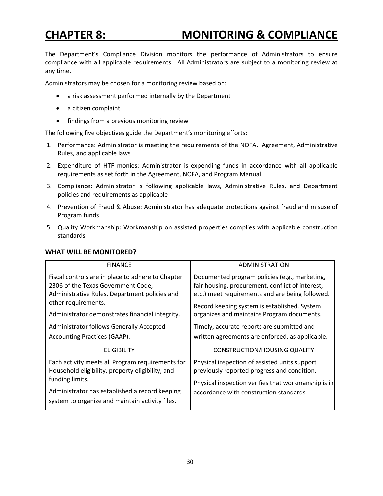## **CHAPTER 8: MONITORING & COMPLIANCE**

The Department's Compliance Division monitors the performance of Administrators to ensure compliance with all applicable requirements. All Administrators are subject to a monitoring review at any time.

Administrators may be chosen for a monitoring review based on:

- a risk assessment performed internally by the Department
- a citizen complaint
- findings from a previous monitoring review

The following five objectives guide the Department's monitoring efforts:

- 1. Performance: Administrator is meeting the requirements of the NOFA, Agreement, Administrative Rules, and applicable laws
- 2. Expenditure of HTF monies: Administrator is expending funds in accordance with all applicable requirements as set forth in the Agreement, NOFA, and Program Manual
- 3. Compliance: Administrator is following applicable laws, Administrative Rules, and Department policies and requirements as applicable
- 4. Prevention of Fraud & Abuse: Administrator has adequate protections against fraud and misuse of Program funds
- 5. Quality Workmanship: Workmanship on assisted properties complies with applicable construction standards

| <b>FINANCE</b>                                                                                                                           | <b>ADMINISTRATION</b>                                                                                                                                |
|------------------------------------------------------------------------------------------------------------------------------------------|------------------------------------------------------------------------------------------------------------------------------------------------------|
| Fiscal controls are in place to adhere to Chapter<br>2306 of the Texas Government Code,<br>Administrative Rules, Department policies and | Documented program policies (e.g., marketing,<br>fair housing, procurement, conflict of interest,<br>etc.) meet requirements and are being followed. |
| other requirements.<br>Administrator demonstrates financial integrity.                                                                   | Record keeping system is established. System<br>organizes and maintains Program documents.                                                           |
| Administrator follows Generally Accepted                                                                                                 | Timely, accurate reports are submitted and                                                                                                           |
| Accounting Practices (GAAP).                                                                                                             | written agreements are enforced, as applicable.                                                                                                      |
| <b>ELIGIBILITY</b>                                                                                                                       | <b>CONSTRUCTION/HOUSING QUALITY</b>                                                                                                                  |
| Each activity meets all Program requirements for<br>Household eligibility, property eligibility, and                                     | Physical inspection of assisted units support<br>previously reported progress and condition.                                                         |
| funding limits.                                                                                                                          | Physical inspection verifies that workmanship is in                                                                                                  |
| Administrator has established a record keeping<br>system to organize and maintain activity files.                                        | accordance with construction standards                                                                                                               |

#### **WHAT WILL BE MONITORED?**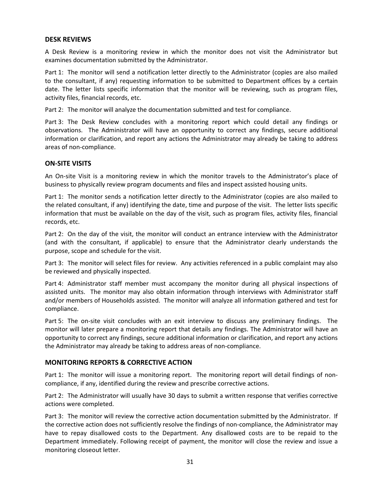#### **DESK REVIEWS**

A Desk Review is a monitoring review in which the monitor does not visit the Administrator but examines documentation submitted by the Administrator.

Part 1: The monitor will send a notification letter directly to the Administrator (copies are also mailed to the consultant, if any) requesting information to be submitted to Department offices by a certain date. The letter lists specific information that the monitor will be reviewing, such as program files, activity files, financial records, etc.

Part 2: The monitor will analyze the documentation submitted and test for compliance.

Part 3: The Desk Review concludes with a monitoring report which could detail any findings or observations. The Administrator will have an opportunity to correct any findings, secure additional information or clarification, and report any actions the Administrator may already be taking to address areas of non-compliance.

#### **ON-SITE VISITS**

An On-site Visit is a monitoring review in which the monitor travels to the Administrator's place of business to physically review program documents and files and inspect assisted housing units.

Part 1: The monitor sends a notification letter directly to the Administrator (copies are also mailed to the related consultant, if any) identifying the date, time and purpose of the visit. The letter lists specific information that must be available on the day of the visit, such as program files, activity files, financial records, etc.

Part 2: On the day of the visit, the monitor will conduct an entrance interview with the Administrator (and with the consultant, if applicable) to ensure that the Administrator clearly understands the purpose, scope and schedule for the visit.

Part 3: The monitor will select files for review. Any activities referenced in a public complaint may also be reviewed and physically inspected.

Part 4: Administrator staff member must accompany the monitor during all physical inspections of assisted units. The monitor may also obtain information through interviews with Administrator staff and/or members of Households assisted. The monitor will analyze all information gathered and test for compliance.

Part 5: The on-site visit concludes with an exit interview to discuss any preliminary findings. The monitor will later prepare a monitoring report that details any findings. The Administrator will have an opportunity to correct any findings, secure additional information or clarification, and report any actions the Administrator may already be taking to address areas of non-compliance.

#### **MONITORING REPORTS & CORRECTIVE ACTION**

Part 1: The monitor will issue a monitoring report. The monitoring report will detail findings of noncompliance, if any, identified during the review and prescribe corrective actions.

Part 2: The Administrator will usually have 30 days to submit a written response that verifies corrective actions were completed.

Part 3: The monitor will review the corrective action documentation submitted by the Administrator. If the corrective action does not sufficiently resolve the findings of non-compliance, the Administrator may have to repay disallowed costs to the Department. Any disallowed costs are to be repaid to the Department immediately. Following receipt of payment, the monitor will close the review and issue a monitoring closeout letter.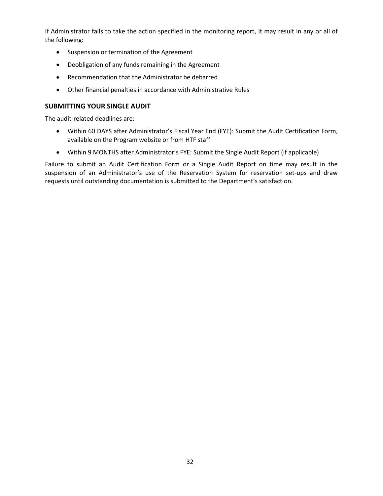If Administrator fails to take the action specified in the monitoring report, it may result in any or all of the following:

- Suspension or termination of the Agreement
- Deobligation of any funds remaining in the Agreement
- Recommendation that the Administrator be debarred
- Other financial penalties in accordance with Administrative Rules

#### **SUBMITTING YOUR SINGLE AUDIT**

The audit-related deadlines are:

- Within 60 DAYS after Administrator's Fiscal Year End (FYE): Submit the Audit Certification Form, available on the Program website or from HTF staff
- Within 9 MONTHS after Administrator's FYE: Submit the Single Audit Report (if applicable)

Failure to submit an Audit Certification Form or a Single Audit Report on time may result in the suspension of an Administrator's use of the Reservation System for reservation set-ups and draw requests until outstanding documentation is submitted to the Department's satisfaction.